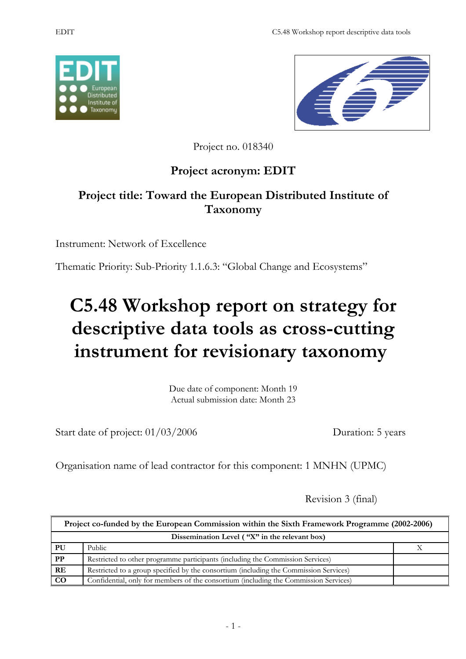



Project no. 018340

# **Project acronym: EDIT**

# **Project title: Toward the European Distributed Institute of Taxonomy**

Instrument: Network of Excellence

Thematic Priority: Sub-Priority 1.1.6.3: "Global Change and Ecosystems"

# **C5.48 Workshop report on strategy for descriptive data tools as cross-cutting instrument for revisionary taxonomy**

Due date of component: Month 19 Actual submission date: Month 23

Start date of project:  $01/03/2006$  Duration: 5 years

Organisation name of lead contractor for this component: 1 MNHN (UPMC)

Revision 3 (final)

| Project co-funded by the European Commission within the Sixth Framework Programme (2002-2006) |                                                                                       |  |
|-----------------------------------------------------------------------------------------------|---------------------------------------------------------------------------------------|--|
| Dissemination Level ("X" in the relevant box)                                                 |                                                                                       |  |
| PU                                                                                            | Public                                                                                |  |
| PP                                                                                            | Restricted to other programme participants (including the Commission Services)        |  |
| <b>RE</b>                                                                                     | Restricted to a group specified by the consortium (including the Commission Services) |  |
| $\rm CO$                                                                                      | Confidential, only for members of the consortium (including the Commission Services)  |  |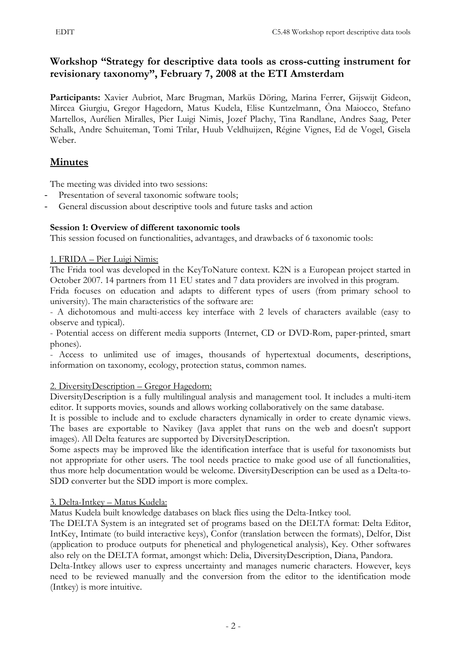## **Workshop "Strategy for descriptive data tools as cross-cutting instrument for revisionary taxonomy", February 7, 2008 at the ETI Amsterdam**

**Participants:** Xavier Aubriot, Marc Brugman, Marküs Döring, Marina Ferrer, Gijswijt Gideon, Mircea Giurgiu, Gregor Hagedorn, Matus Kudela, Elise Kuntzelmann, Ôna Maiocco, Stefano Martellos, Aurélien Miralles, Pier Luigi Nimis, Jozef Plachy, Tina Randlane, Andres Saag, Peter Schalk, Andre Schuiteman, Tomi Trilar, Huub Veldhuijzen, Régine Vignes, Ed de Vogel, Gisela Weber.

# **Minutes**

The meeting was divided into two sessions:

- Presentation of several taxonomic software tools;
- General discussion about descriptive tools and future tasks and action

## **Session 1: Overview of different taxonomic tools**

This session focused on functionalities, advantages, and drawbacks of 6 taxonomic tools:

1. FRIDA – Pier Luigi Nimis:

The Frida tool was developed in the KeyToNature context. K2N is a European project started in October 2007. 14 partners from 11 EU states and 7 data providers are involved in this program.

Frida focuses on education and adapts to different types of users (from primary school to university). The main characteristics of the software are:

- A dichotomous and multi-access key interface with 2 levels of characters available (easy to observe and typical).

- Potential access on different media supports (Internet, CD or DVD-Rom, paper-printed, smart phones).

- Access to unlimited use of images, thousands of hypertextual documents, descriptions, information on taxonomy, ecology, protection status, common names*.*

### 2. DiversityDescription – Gregor Hagedorn:

DiversityDescription is a fully multilingual analysis and management tool. It includes a multi-item editor. It supports movies, sounds and allows working collaboratively on the same database.

It is possible to include and to exclude characters dynamically in order to create dynamic views. The bases are exportable to Navikey (Java applet that runs on the web and doesn't support images). All Delta features are supported by DiversityDescription.

Some aspects may be improved like the identification interface that is useful for taxonomists but not appropriate for other users. The tool needs practice to make good use of all functionalities, thus more help documentation would be welcome. DiversityDescription can be used as a Delta-to-SDD converter but the SDD import is more complex.

## 3. Delta-Intkey – Matus Kudela:

Matus Kudela built knowledge databases on black flies using the Delta-Intkey tool.

The DELTA System is an integrated set of programs based on the DELTA format: Delta Editor, IntKey, Intimate (to build interactive keys), Confor (translation between the formats), Delfor, Dist (application to produce outputs for phenetical and phylogenetical analysis), Key. Other softwares also rely on the DELTA format, amongst which: Delia, DiversityDescription, Diana, Pandora.

Delta-Intkey allows user to express uncertainty and manages numeric characters. However, keys need to be reviewed manually and the conversion from the editor to the identification mode (Intkey) is more intuitive.